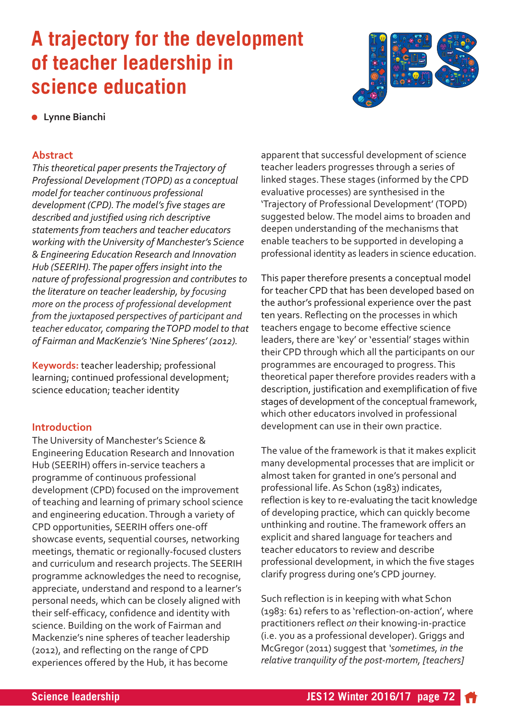# **A trajectory for the development of teacher leadership in science education**



**•** Lynne Bianchi

# **Abstract**

*This theoretical paper presents the Trajectory of Professional Development (TOPD) as a conceptual model for teacher continuous professional development (CPD). The model's five stages are described and justified using rich descriptive statements from teachers and teacher educators working with the University of Manchester's Science & Engineering Education Research and Innovation Hub (SEERIH). The paper offers insight into the nature of professional progression and contributes to the literature on teacher leadership, by focusing more on the process of professional development from the juxtaposed perspectives of participant and teacher educator, comparing the TOPD model to that of Fairman and MacKenzie's 'Nine Spheres' (2012).* 

**Keywords:** teacher leadership; professional learning; continued professional development; science education; teacher identity

# **Introduction**

The University of Manchester's Science & Engineering Education Research and Innovation Hub (SEERIH) offers in-service teachers a programme of continuous professional development (CPD) focused on the improvement of teaching and learning of primary school science and engineering education. Through a variety of CPD opportunities, SEERIH offers one-off showcase events, sequential courses, networking meetings, thematic or regionally-focused clusters and curriculum and research projects. The SEERIH programme acknowledges the need to recognise, appreciate, understand and respond to a learner's personal needs, which can be closely aligned with their self-efficacy, confidence and identity with science. Building on the work of Fairman and Mackenzie's nine spheres of teacher leadership (2012), and reflecting on the range of CPD experiences offered by the Hub, it has become

apparent that successful development of science teacher leaders progresses through a series of linked stages. These stages (informed by the CPD evaluative processes) are synthesised in the 'Trajectory of Professional Development' (TOPD) suggested below. The model aims to broaden and deepen understanding of the mechanisms that enable teachers to be supported in developing a professional identity as leaders in science education.

This paper therefore presents a conceptual model for teacher CPD that has been developed based on the author's professional experience over the past ten years. Reflecting on the processes in which teachers engage to become effective science leaders, there are 'key' or 'essential' stages within their CPD through which all the participants on our programmes are encouraged to progress. This theoretical paper therefore provides readers with a description, justification and exemplification of five stages of development of the conceptual framework, which other educators involved in professional development can use in their own practice.

The value of the framework is that it makes explicit many developmental processes that are implicit or almost taken for granted in one's personal and professional life. As Schon (1983) indicates, reflection is key to re-evaluating the tacit knowledge of developing practice, which can quickly become unthinking and routine. The framework offers an explicit and shared language for teachers and teacher educators to review and describe professional development, in which the five stages clarify progress during one's CPD journey.

Such reflection is in keeping with what Schon  $(1983: 61)$  refers to as 'reflection-on-action', where practitioners reflect *on* their knowing-in-practice (i.e. you as a professional developer). Griggs and McGregor (2011) suggest that *'sometimes, in the relative tranquility of the post-mortem, [teachers]*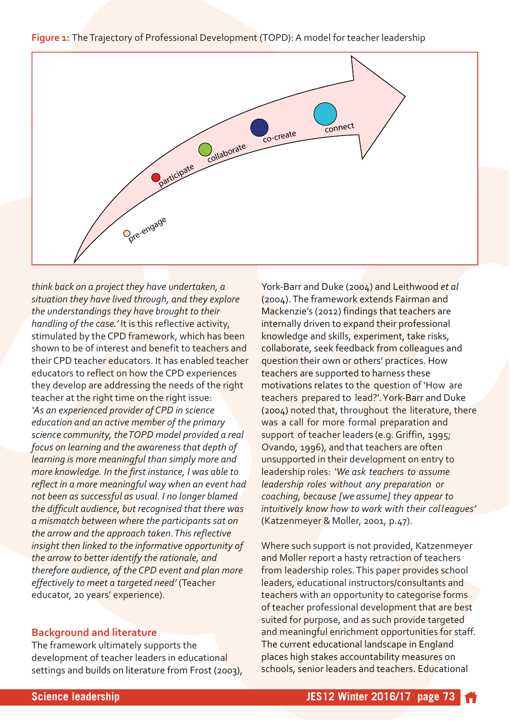



*think back on a project they have undertaken, a situation they have lived through, and they explore the understandings they have brought to their handling of the case.'* It is this reflective activity, stimulated by the CPD framework, which has been shown to be of interest and benefit to teachers and their CPD teacher educators. It has enabled teacher educators to reflect on how the CPD experiences they develop are addressing the needs of the right teacher at the right time on the right issue: *'As an experienced provider of CPD in science education and an active member of the primary science community, the TOPD model provided a real focus on learning and the awareness that depth of learning is more meaningful than simply more and more knowledge. In the first instance, I was able to reflect in a more meaningful way when an event had not been as successful as usual. I no longer blamed the difficult audience, but recognised that there was a mismatch between where the participants sat on the arrow and the approach taken. This reflective insight then linked to the informative opportunity of the arrow to better identify the rationale, and therefore audience, of the CPD event and plan more effectively to meet a targeted need'* (Teacher educator, 20 years' experience).

# **Background and literature**

The framework ultimately supports the development of teacher leaders in educational settings and builds on literature from Frost (2003), York-Barr and Duke (2004) and Leithwood *et al* (2004). The framework extends Fairman and Mackenzie's (2012) findings that teachers are internally driven to expand their professional knowledge and skills, experiment, take risks, collaborate, seek feedback from colleagues and question their own or others' practices. How teachers are supported to harness these motivations relates to the question of 'How are teachers prepared to lead?'. York-Barr and Duke (2004) noted that, throughout the literature, there was a call for more formal preparation and support of teacher leaders (e.g. Griffin, 1995; Ovando, 1996), and that teachers are often unsupported in their development on entry to leadership roles: *'We ask teachers to assume leadership roles without any preparation or coaching, because [we assume] they appear to intuitively know how to work with their colleagues'* (Katzenmeyer & Moller, 2001, p.47).

Where such support is not provided, Katzenmeyer and Moller report a hasty retraction of teachers from leadership roles. This paper provides school leaders, educational instructors/consultants and teachers with an opportunity to categorise forms of teacher professional development that are best suited for purpose, and as such provide targeted and meaningful enrichment opportunities for staff. The current educational landscape in England places high stakes accountability measures on schools, senior leaders and teachers. Educational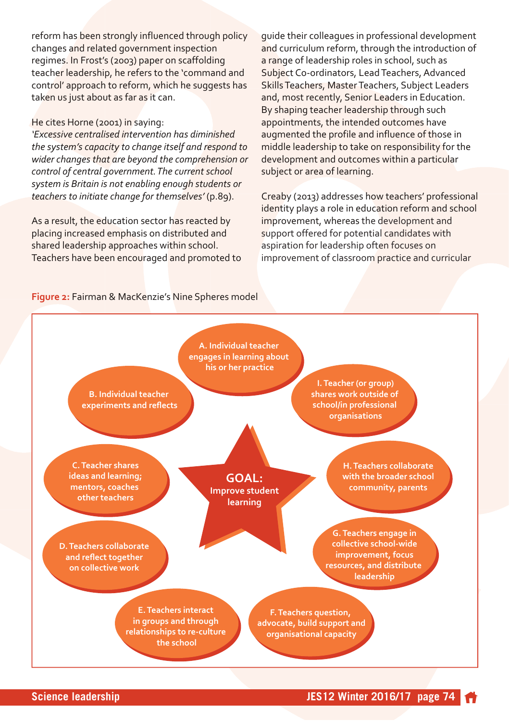reform has been strongly influenced through policy changes and related government inspection regimes. In Frost's (2003) paper on scaffolding teacher leadership, he refers to the 'command and control' approach to reform, which he suggests has taken us just about as far as it can.

#### He cites Horne (2001) in saying:

*'Excessive centralised intervention has diminished the system's capacity to change itself and respond to wider changes that are beyond the comprehension or control of central government. The current school system is Britain is not enabling enough students or teachers to initiate change for themselves'* (p.89).

As a result, the education sector has reacted by placing increased emphasis on distributed and shared leadership approaches within school. Teachers have been encouraged and promoted to guide their colleagues in professional development and curriculum reform, through the introduction of a range of leadership roles in school, such as Subject Co-ordinators, Lead Teachers, Advanced Skills Teachers, Master Teachers, Subject Leaders and, most recently, Senior Leaders in Education. By shaping teacher leadership through such appointments, the intended outcomes have augmented the profile and influence of those in middle leadership to take on responsibility for the development and outcomes within a particular subject or area of learning.

Creaby (2013) addresses how teachers' professional identity plays a role in education reform and school improvement, whereas the development and support offered for potential candidates with aspiration for leadership often focuses on improvement of classroom practice and curricular

#### **Figure 2:** Fairman & MacKenzie's Nine Spheres model

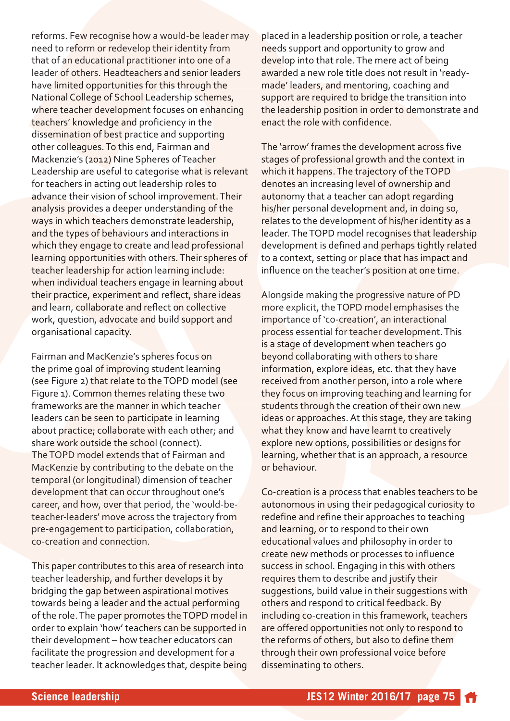reforms. Few recognise how a would-be leader may need to reform or redevelop their identity from that of an educational practitioner into one of a leader of others. Headteachers and senior leaders have limited opportunities for this through the National College of School Leadership schemes, where teacher development focuses on enhancing teachers' knowledge and proficiency in the dissemination of best practice and supporting other colleagues. To this end, Fairman and Mackenzie's (2012) Nine Spheres of Teacher Leadership are useful to categorise what is relevant for teachers in acting out leadership roles to advance their vision of school improvement. Their analysis provides a deeper understanding of the ways in which teachers demonstrate leadership, and the types of behaviours and interactions in which they engage to create and lead professional learning opportunities with others. Their spheres of teacher leadership for action learning include: when individual teachers engage in learning about their practice, experiment and reflect, share ideas and learn, collaborate and reflect on collective work, question, advocate and build support and organisational capacity.

Fairman and MacKenzie's spheres focus on the prime goal of improving student learning (see Figure 2) that relate to the TOPD model (see Figure 1). Common themes relating these two frameworks are the manner in which teacher leaders can be seen to participate in learning about practice; collaborate with each other; and share work outside the school (connect). The TOPD model extends that of Fairman and MacKenzie by contributing to the debate on the temporal (or longitudinal) dimension of teacher development that can occur throughout one's career, and how, over that period, the 'would-beteacher-leaders' move across the trajectory from pre-engagement to participation, collaboration, co-creation and connection.

This paper contributes to this area of research into teacher leadership, and further develops it by bridging the gap between aspirational motives towards being a leader and the actual performing of the role. The paper promotes the TOPD model in order to explain 'how' teachers can be supported in their development – how teacher educators can facilitate the progression and development for a teacher leader. It acknowledges that, despite being

placed in a leadership position or role, a teacher needs support and opportunity to grow and develop into that role. The mere act of being awarded a new role title does not result in 'readymade' leaders, and mentoring, coaching and support are required to bridge the transition into the leadership position in order to demonstrate and enact the role with confidence.

The 'arrow' frames the development across five stages of professional growth and the context in which it happens. The trajectory of the TOPD denotes an increasing level of ownership and autonomy that a teacher can adopt regarding his/her personal development and, in doing so, relates to the development of his/her identity as a leader. The TOPD model recognises that leadership development is defined and perhaps tightly related to a context, setting or place that has impact and influence on the teacher's position at one time.

Alongside making the progressive nature of PD more explicit, the TOPD model emphasises the importance of 'co-creation', an interactional process essential for teacher development. This is a stage of development when teachers go beyond collaborating with others to share information, explore ideas, etc. that they have received from another person, into a role where they focus on improving teaching and learning for students through the creation of their own new ideas or approaches. At this stage, they are taking what they know and have learnt to creatively explore new options, possibilities or designs for learning, whether that is an approach, a resource or behaviour.

Co-creation is a process that enables teachers to be autonomous in using their pedagogical curiosity to redefine and refine their approaches to teaching and learning, or to respond to their own educational values and philosophy in order to create new methods or processes to influence success in school. Engaging in this with others requires them to describe and justify their suggestions, build value in their suggestions with others and respond to critical feedback. By including co-creation in this framework, teachers are offered opportunities not only to respond to the reforms of others, but also to define them through their own professional voice before disseminating to others.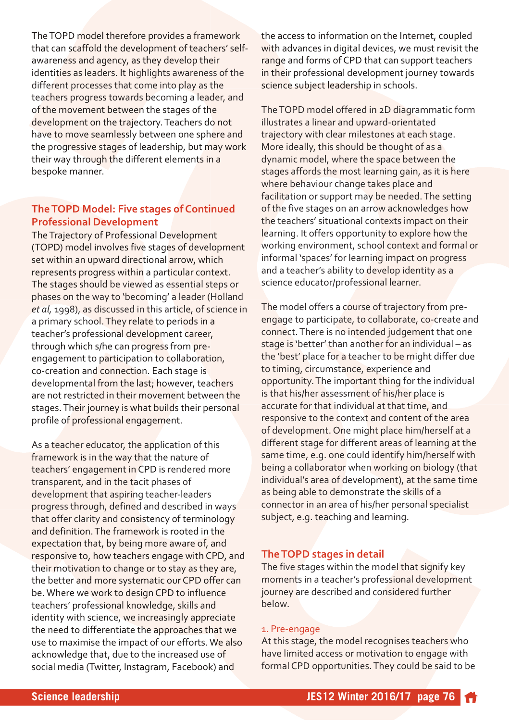The TOPD model therefore provides a framework that can scaffold the development of teachers' selfawareness and agency, as they develop their identities as leaders. It highlights awareness of the different processes that come into play as the teachers progress towards becoming a leader, and of the movement between the stages of the development on the trajectory. Teachers do not have to move seamlessly between one sphere and the progressive stages of leadership, but may work their way through the different elements in a bespoke manner.

# **The TOPD Model: Five stages of Continued Professional Development**

The Trajectory of Professional Development (TOPD) model involves five stages of development set within an upward directional arrow, which represents progress within a particular context. The stages should be viewed as essential steps or phases on the way to 'becoming' a leader (Holland *et al,* 1998), as discussed in this article, of science in a primary school. They relate to periods in a teacher's professional development career, through which s/he can progress from preengagement to participation to collaboration, co-creation and connection. Each stage is developmental from the last; however, teachers are not restricted in their movement between the stages. Their journey is what builds their personal profile of professional engagement.

As a teacher educator, the application of this framework is in the way that the nature of teachers' engagement in CPD is rendered more transparent, and in the tacit phases of development that aspiring teacher-leaders progress through, defined and described in ways that offer clarity and consistency of terminology and definition. The framework is rooted in the expectation that, by being more aware of, and responsive to, how teachers engage with CPD, and their motivation to change or to stay as they are, the better and more systematic our CPD offer can be. Where we work to design CPD to influence teachers' professional knowledge, skills and identity with science, we increasingly appreciate the need to differentiate the approaches that we use to maximise the impact of our efforts. We also acknowledge that, due to the increased use of social media (Twitter, Instagram, Facebook) and

the access to information on the Internet, coupled with advances in digital devices, we must revisit the range and forms of CPD that can support teachers in their professional development journey towards science subject leadership in schools.

The TOPD model offered in 2D diagrammatic form illustrates a linear and upward-orientated trajectory with clear milestones at each stage. More ideally, this should be thought of as a dynamic model, where the space between the stages affords the most learning gain, as it is here where behaviour change takes place and facilitation or support may be needed. The setting of the five stages on an arrow acknowledges how the teachers' situational contexts impact on their learning. It offers opportunity to explore how the working environment, school context and formal or informal 'spaces' for learning impact on progress and a teacher's ability to develop identity as a science educator/professional learner.

The model offers a course of trajectory from preengage to participate, to collaborate, co-create and connect. There is no intended judgement that one stage is 'better' than another for an individual – as the 'best' place for a teacher to be might differ due to timing, circumstance, experience and opportunity. The important thing for the individual is that his/her assessment of his/her place is accurate for that individual at that time, and responsive to the context and content of the area of development. One might place him/herself at a different stage for different areas of learning at the same time, e.g. one could identify him/herself with being a collaborator when working on biology (that individual's area of development), at the same time as being able to demonstrate the skills of a connector in an area of his/her personal specialist subject, e.g. teaching and learning.

# **The TOPD stages in detail**

The five stages within the model that signify key moments in a teacher's professional development journey are described and considered further below.

#### 1. Pre-engage

At this stage, the model recognises teachers who have limited access or motivation to engage with formal CPD opportunities. They could be said to be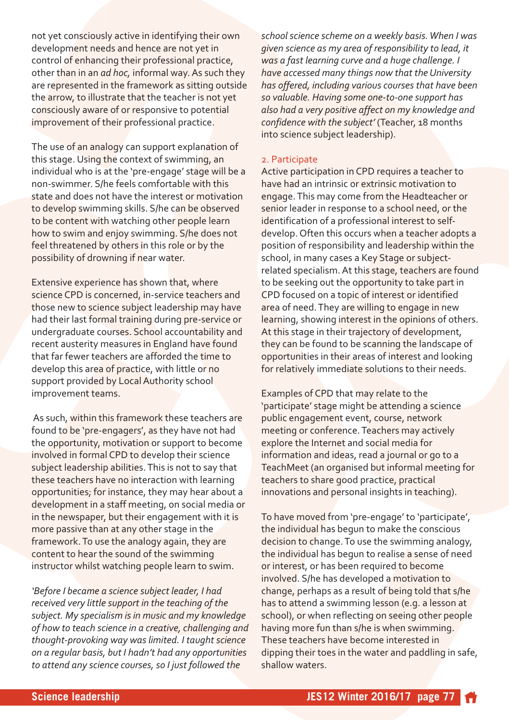not yet consciously active in identifying their own development needs and hence are not yet in control of enhancing their professional practice, other than in an *ad hoc,* informal way. As such they are represented in the framework as sitting outside the arrow, to illustrate that the teacher is not yet consciously aware of or responsive to potential improvement of their professional practice.

The use of an analogy can support explanation of this stage. Using the context of swimming, an individual who is at the 'pre-engage' stage will be a non-swimmer. S/he feels comfortable with this state and does not have the interest or motivation to develop swimming skills. S/he can be observed to be content with watching other people learn how to swim and enjoy swimming. S/he does not feel threatened by others in this role or by the possibility of drowning if near water.

Extensive experience has shown that, where science CPD is concerned, in-service teachers and those new to science subject leadership may have had their last formal training during pre-service or undergraduate courses. School accountability and recent austerity measures in England have found that far fewer teachers are afforded the time to develop this area of practice, with little or no support provided by Local Authority school improvement teams.

As such, within this framework these teachers are found to be 'pre-engagers', as they have not had the opportunity, motivation or support to become involved in formal CPD to develop their science subject leadership abilities. This is not to say that these teachers have no interaction with learning opportunities; for instance, they may hear about a development in a staff meeting, on social media or in the newspaper, but their engagement with it is more passive than at any other stage in the framework. To use the analogy again, they are content to hear the sound of the swimming instructor whilst watching people learn to swim.

*'Before I became a science subject leader, I had received very little support in the teaching of the subject. My specialism is in music and my knowledge of how to teach science in a creative, challenging and* thought-provoking way was limited. I taught science *on a regular basis, but I hadn't had any opportunities to attend any science courses, so I just followed the*

*school science scheme on a weekly basis. When I was given science as my area of responsibility to lead, it was a fast learning curve and a huge challenge. I have accessed many things now that the University has offered, including various courses that have been* so valuable. Having some one-to-one support has *also had a very positive affect on my knowledge and confidence with the subject'* (Teacher, 18 months into science subject leadership).

#### 2. Participate

Active participation in CPD requires a teacher to have had an intrinsic or extrinsic motivation to engage. This may come from the Headteacher or senior leader in response to a school need, or the identification of a professional interest to selfdevelop. Often this occurs when a teacher adopts a position of responsibility and leadership within the school, in many cases a Key Stage or subjectrelated specialism. At this stage, teachers are found to be seeking out the opportunity to take part in CPD focused on a topic of interest or identified area of need. They are willing to engage in new learning, showing interest in the opinions of others. At this stage in their trajectory of development, they can be found to be scanning the landscape of opportunities in their areas of interest and looking for relatively immediate solutions to their needs.

Examples of CPD that may relate to the 'participate' stage might be attending a science public engagement event, course, network meeting or conference. Teachers may actively explore the Internet and social media for information and ideas, read a journal or go to a TeachMeet (an organised but informal meeting for teachers to share good practice, practical innovations and personal insights in teaching).

To have moved from 'pre-engage' to 'participate', the individual has begun to make the conscious decision to change. To use the swimming analogy, the individual has begun to realise a sense of need or interest, or has been required to become involved. S/he has developed a motivation to change, perhaps as a result of being told that s/he has to attend a swimming lesson (e.g. a lesson at school), or when reflecting on seeing other people having more fun than s/he is when swimming. These teachers have become interested in dipping their toes in the water and paddling in safe, shallow waters.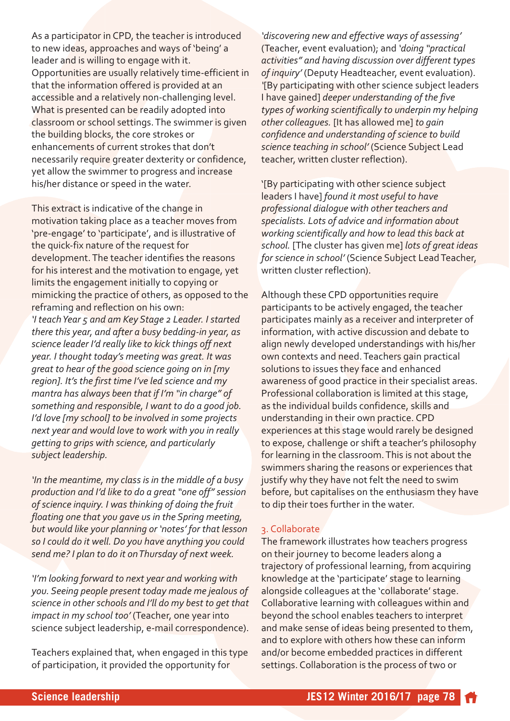As a participator in CPD, the teacher is introduced to new ideas, approaches and ways of 'being' a leader and is willing to engage with it. Opportunities are usually relatively time-efficient in that the information offered is provided at an accessible and a relatively non-challenging level. What is presented can be readily adopted into classroom or school settings. The swimmer is given the building blocks, the core strokes or enhancements of current strokes that don't necessarily require greater dexterity or confidence, yet allow the swimmer to progress and increase his/her distance or speed in the water.

This extract is indicative of the change in motivation taking place as a teacher moves from 'pre-engage' to 'participate', and is illustrative of the quick-fix nature of the request for development. The teacher identifies the reasons for his interest and the motivation to engage, yet limits the engagement initially to copying or mimicking the practice of others, as opposed to the reframing and reflection on his own:

*'I teach Year 5 and am Key Stage 2 Leader. I started* there this year, and after a busy bedding-in year, as *science leader I'd really like to kick things off next year. I thought today's meeting was great. It was great to hear of the good science going on in [my region]. It's the first time I've led science and my mantra has always been that if I'm "in charge" of something and responsible, I want to do a good job. I'd love [my school] to be involved in some projects next year and would love to work with you in really getting to grips with science, and particularly subject leadership.* 

*'In the meantime, my class is in the middle of a busy production and I'd like to do a great "one off" session of science inquiry. I was thinking of doing the fruit floating one that you gave us in the Spring meeting, but would like your planning or 'notes' for that lesson so I could do it well. Do you have anything you could send me? I plan to do it on Thursday of next week.* 

*'I'm looking forward to next year and working with you. Seeing people present today made me jealous of science in other schools and I'll do my best to get that impact in my school too'* (Teacher, one year into science subject leadership, e-mail correspondence).

Teachers explained that, when engaged in this type of participation, it provided the opportunity for

*'discovering new and effective ways of assessing'* (Teacher, event evaluation); and *'doing "practical activities" and having discussion over different types of inquiry'* (Deputy Headteacher, event evaluation). *'*[By participating with other science subject leaders I have gained] *deeper understanding of the five types of working scientifically to underpin my helping other colleagues.* [It has allowed me] *to gain confidence and understanding of science to build science teaching in school'* (Science Subject Lead teacher, written cluster reflection).

'[By participating with other science subject leaders I have] *found it most useful to have professional dialogue with other teachers and specialists. Lots of advice and information about working scientifically and how to lead this back at school.* [The cluster has given me] *lots of great ideas for science in school'* (Science Subject Lead Teacher, written cluster reflection).

Although these CPD opportunities require participants to be actively engaged, the teacher participates mainly as a receiver and interpreter of information, with active discussion and debate to align newly developed understandings with his/her own contexts and need. Teachers gain practical solutions to issues they face and enhanced awareness of good practice in their specialist areas. Professional collaboration is limited at this stage, as the individual builds confidence, skills and understanding in their own practice. CPD experiences at this stage would rarely be designed to expose, challenge or shift a teacher's philosophy for learning in the classroom. This is not about the swimmers sharing the reasons or experiences that justify why they have not felt the need to swim before, but capitalises on the enthusiasm they have to dip their toes further in the water.

# 3. Collaborate

The framework illustrates how teachers progress on their journey to become leaders along a trajectory of professional learning, from acquiring knowledge at the 'participate' stage to learning alongside colleagues at the 'collaborate' stage. Collaborative learning with colleagues within and beyond the school enables teachers to interpret and make sense of ideas being presented to them, and to explore with others how these can inform and/or become embedded practices in different settings. Collaboration is the process of two or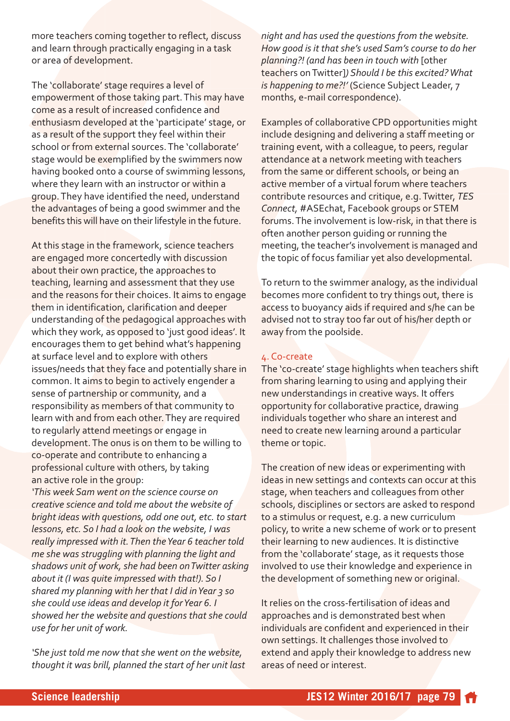more teachers coming together to reflect, discuss and learn through practically engaging in a task or area of development.

The 'collaborate' stage requires a level of empowerment of those taking part. This may have come as a result of increased confidence and enthusiasm developed at the 'participate' stage, or as a result of the support they feel within their school or from external sources. The 'collaborate' stage would be exemplified by the swimmers now having booked onto a course of swimming lessons, where they learn with an instructor or within a group. They have identified the need, understand the advantages of being a good swimmer and the benefits this will have on their lifestyle in the future.

At this stage in the framework, science teachers are engaged more concertedly with discussion about their own practice, the approaches to teaching, learning and assessment that they use and the reasons for their choices. It aims to engage them in identification, clarification and deeper understanding of the pedagogical approaches with which they work, as opposed to 'just good ideas'. It encourages them to get behind what's happening at surface level and to explore with others issues/needs that they face and potentially share in common. It aims to begin to actively engender a sense of partnership or community, and a responsibility as members of that community to learn with and from each other. They are required to regularly attend meetings or engage in development. The onus is on them to be willing to co-operate and contribute to enhancing a professional culture with others, by taking an active role in the group:

*'This week Sam went on the science course on creative science and told me about the website of bright ideas with questions, odd one out, etc. to start lessons, etc. So I had a look on the website, I was really impressed with it. Then the Year 6 teacher told me she was struggling with planning the light and shadows unit of work, she had been on Twitter asking about it (I was quite impressed with that!). So I shared my planning with her that I did in Year 3 so she could use ideas and develop it for Year 6. I showed her the website and questions that she could use for her unit of work.*

*'She just told me now that she went on the website, thought it was brill, planned the start of her unit last* *night and has used the questions from the website. How good is it that she's used Sam's course to do her planning?! (and has been in touch with* [other teachers on Twitter]*) Should I be this excited? What is happening to me?!'* (Science Subject Leader, 7 months, e-mail correspondence).

Examples of collaborative CPD opportunities might include designing and delivering a staff meeting or training event, with a colleague, to peers, regular attendance at a network meeting with teachers from the same or different schools, or being an active member of a virtual forum where teachers contribute resources and critique, e.g. Twitter, *TES Connect,* #ASEchat, Facebook groups or STEM forums. The involvement is low-risk, in that there is often another person guiding or running the meeting, the teacher's involvement is managed and the topic of focus familiar yet also developmental.

To return to the swimmer analogy, as the individual becomes more confident to try things out, there is access to buoyancy aids if required and s/he can be advised not to stray too far out of his/her depth or away from the poolside.

#### 4. Co-create

The 'co-create' stage highlights when teachers shift from sharing learning to using and applying their new understandings in creative ways. It offers opportunity for collaborative practice, drawing individuals together who share an interest and need to create new learning around a particular theme or topic.

The creation of new ideas or experimenting with ideas in new settings and contexts can occur at this stage, when teachers and colleagues from other schools, disciplines or sectors are asked to respond to a stimulus or request, e.g. a new curriculum policy, to write a new scheme of work or to present their learning to new audiences. It is distinctive from the 'collaborate' stage, as it requests those involved to use their knowledge and experience in the development of something new or original.

It relies on the cross-fertilisation of ideas and approaches and is demonstrated best when individuals are confident and experienced in their own settings. It challenges those involved to extend and apply their knowledge to address new areas of need or interest.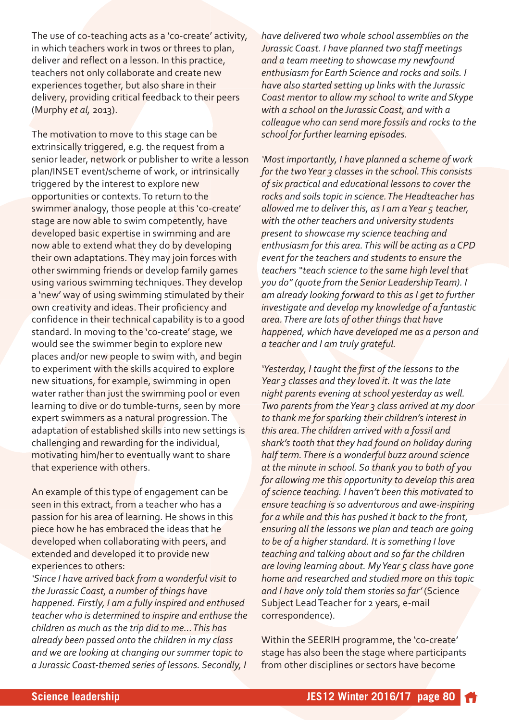The use of co-teaching acts as a 'co-create' activity, in which teachers work in twos or threes to plan, deliver and reflect on a lesson. In this practice, teachers not only collaborate and create new experiences together, but also share in their delivery, providing critical feedback to their peers (Murphy *et al,* 2013).

The motivation to move to this stage can be extrinsically triggered, e.g. the request from a senior leader, network or publisher to write a lesson plan/INSET event/scheme of work, or intrinsically triggered by the interest to explore new opportunities or contexts. To return to the swimmer analogy, those people at this 'co-create' stage are now able to swim competently, have developed basic expertise in swimming and are now able to extend what they do by developing their own adaptations. They may join forces with other swimming friends or develop family games using various swimming techniques. They develop a 'new' way of using swimming stimulated by their own creativity and ideas. Their proficiency and confidence in their technical capability is to a good standard. In moving to the 'co-create' stage, we would see the swimmer begin to explore new places and/or new people to swim with, and begin to experiment with the skills acquired to explore new situations, for example, swimming in open water rather than just the swimming pool or even learning to dive or do tumble-turns, seen by more expert swimmers as a natural progression. The adaptation of established skills into new settings is challenging and rewarding for the individual, motivating him/her to eventually want to share that experience with others.

An example of this type of engagement can be seen in this extract, from a teacher who has a passion for his area of learning. He shows in this piece how he has embraced the ideas that he developed when collaborating with peers, and extended and developed it to provide new experiences to others:

*'Since I have arrived back from a wonderful visit to the Jurassic Coast, a number of things have happened. Firstly, I am a fully inspired and enthused teacher who is determined to inspire and enthuse the children as much as the trip did to me… This has already been passed onto the children in my class and we are looking at changing our summer topic to a Jurassic Coastthemed series of lessons. Secondly, I*

*have delivered two whole school assemblies on the Jurassic Coast. I have planned two staff meetings and a team meeting to showcase my newfound enthusiasm for Earth Science and rocks and soils. I have also started setting up links with the Jurassic Coast mentor to allow my school to write and Skype with a school on the Jurassic Coast, and with a colleague who can send more fossils and rocks to the school for further learning episodes.*

*'Most importantly, I have planned a scheme of work for the two Year 3 classes in the school. This consists of six practical and educational lessons to cover the rocks and soils topic in science. The Headteacher has allowed me to deliver this, as I am a Year 5 teacher, with the other teachers and university students present to showcase my science teaching and enthusiasm for this area. This will be acting as a CPD event for the teachers and students to ensure the teachers "teach science to the same high level that you do" (quote from the Senior Leadership Team). I am already looking forward to this as I get to further investigate and develop my knowledge of a fantastic area. There are lots of other things that have happened, which have developed me as a person and a teacher and I am truly grateful.*

*'Yesterday, I taught the first of the lessons to the Year 3 classes and they loved it. It was the late night parents evening at school yesterday as well. Two parents from the Year 3 class arrived at my door to thank me for sparking their children's interest in this area. The children arrived with a fossil and shark's tooth that they had found on holiday during half term. There is a wonderful buzz around science at the minute in school. So thank you to both of you for allowing me this opportunity to develop this area of science teaching. I haven't been this motivated to ensure teaching is so adventurous and aweinspiring for a while and this has pushed it back to the front, ensuring all the lessons we plan and teach are going to be of a higher standard. It is something I love teaching and talking about and so far the children are loving learning about. My Year 5 class have gone home and researched and studied more on this topic and I have only told them stories so far'* (Science Subject Lead Teacher for 2 years, e-mail correspondence).

Within the SEERIH programme, the 'co-create' stage has also been the stage where participants from other disciplines or sectors have become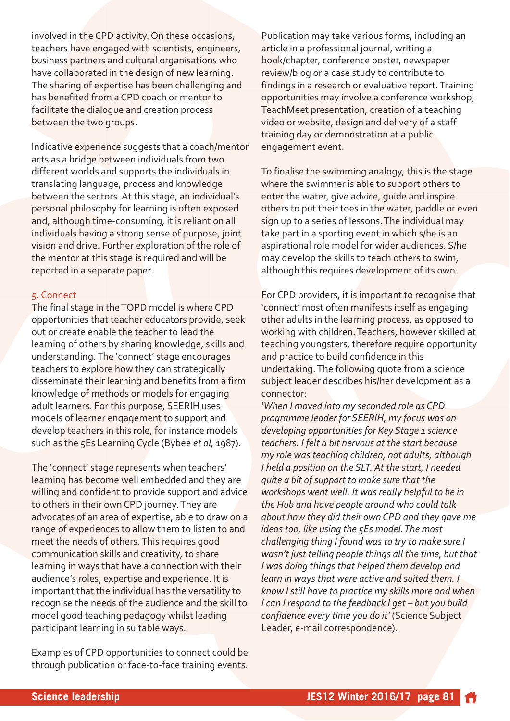involved in the CPD activity. On these occasions, teachers have engaged with scientists, engineers, business partners and cultural organisations who have collaborated in the design of new learning. The sharing of expertise has been challenging and has benefited from a CPD coach or mentor to facilitate the dialogue and creation process between the two groups.

Indicative experience suggests that a coach/mentor acts as a bridge between individuals from two different worlds and supports the individuals in translating language, process and knowledge between the sectors. At this stage, an individual's personal philosophy for learning is often exposed and, although time-consuming, it is reliant on all individuals having a strong sense of purpose, joint vision and drive. Further exploration of the role of the mentor at this stage is required and will be reported in a separate paper.

#### 5. Connect

The final stage in the TOPD model is where CPD opportunities that teacher educators provide, seek out or create enable the teacher to lead the learning of others by sharing knowledge, skills and understanding. The 'connect' stage encourages teachers to explore how they can strategically disseminate their learning and benefits from a firm knowledge of methods or models for engaging adult learners. For this purpose, SEERIH uses models of learner engagement to support and develop teachers in this role, for instance models such as the 5Es Learning Cycle (Bybee *et al,* 1987).

The 'connect' stage represents when teachers' learning has become well embedded and they are willing and confident to provide support and advice to others in their own CPD journey. They are advocates of an area of expertise, able to draw on a range of experiences to allow them to listen to and meet the needs of others. This requires good communication skills and creativity, to share learning in ways that have a connection with their audience's roles, expertise and experience. It is important that the individual has the versatility to recognise the needs of the audience and the skill to model good teaching pedagogy whilst leading participant learning in suitable ways.

Examples of CPD opportunities to connect could be through publication or face-to-face training events.

Publication may take various forms, including an article in a professional journal, writing a book/chapter, conference poster, newspaper review/blog or a case study to contribute to findings in a research or evaluative report. Training opportunities may involve a conference workshop, TeachMeet presentation, creation of a teaching video or website, design and delivery of a staff training day or demonstration at a public engagement event.

To finalise the swimming analogy, this is the stage where the swimmer is able to support others to enter the water, give advice, guide and inspire others to put their toes in the water, paddle or even sign up to a series of lessons. The individual may take part in a sporting event in which s/he is an aspirational role model for wider audiences. S/he may develop the skills to teach others to swim, although this requires development of its own.

For CPD providers, it is important to recognise that 'connect' most often manifests itself as engaging other adults in the learning process, as opposed to working with children. Teachers, however skilled at teaching youngsters, therefore require opportunity and practice to build confidence in this undertaking. The following quote from a science subject leader describes his/her development as a connector:

*'When I moved into my seconded role as CPD programme leader for SEERIH, my focus was on developing opportunities for Key Stage 1 science teachers. I felt a bit nervous at the start because my role was teaching children, not adults, although I held a position on the SLT. At the start, I needed quite a bit of support to make sure that the workshops went well. It was really helpful to be in the Hub and have people around who could talk about how they did their own CPD and they gave me ideas too, like using the 5Es model. The most challenging thing I found was to try to make sure I wasn't just telling people things all the time, but that I was doing things that helped them develop and learn in ways that were active and suited them. I know I still have to practice my skills more and when I can I respond to the feedback I get – but you build confidence every time you do it'* (Science Subject Leader, e-mail correspondence).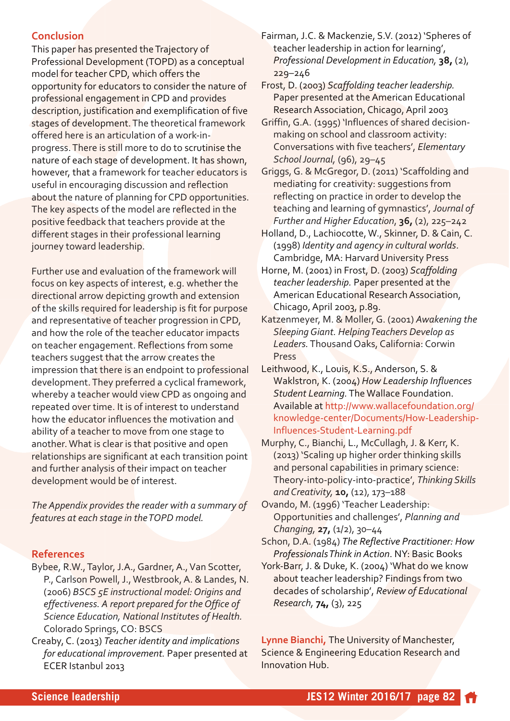# **Conclusion**

This paper has presented the Trajectory of Professional Development (TOPD) as a conceptual model for teacher CPD, which offers the opportunity for educators to consider the nature of professional engagement in CPD and provides description, justification and exemplification of five stages of development. The theoretical framework offered here is an articulation of a work-inprogress. There is still more to do to scrutinise the nature of each stage of development. It has shown, however, that a framework for teacher educators is useful in encouraging discussion and reflection about the nature of planning for CPD opportunities. The key aspects of the model are reflected in the positive feedback that teachers provide at the different stages in their professional learning journey toward leadership.

Further use and evaluation of the framework will focus on key aspects of interest, e.g. whether the directional arrow depicting growth and extension of the skills required for leadership is fit for purpose and representative of teacher progression in CPD, and how the role of the teacher educator impacts on teacher engagement. Reflections from some teachers suggest that the arrow creates the impression that there is an endpoint to professional development. They preferred a cyclical framework, whereby a teacher would view CPD as ongoing and repeated over time. It is of interest to understand how the educator influences the motivation and ability of a teacher to move from one stage to another. What is clear is that positive and open relationships are significant at each transition point and further analysis of their impact on teacher development would be of interest.

*The Appendix provides the reader with a summary of features at each stage in the TOPD model.*

#### **References**

- Bybee, R.W., Taylor, J.A., Gardner, A., Van Scotter, P., Carlson Powell, J., Westbrook, A. & Landes, N. (2006) *BSCS 5E instructional model: Origins and effectiveness. A report prepared for the Office of Science Education, National Institutes of Health.* Colorado Springs, CO: BSCS
- Creaby, C. (2013) *Teacher identity and implications for educational improvement.* Paper presented at ECER Istanbul 2013

Fairman, J.C. & Mackenzie, S.V. (2012) 'Spheres of teacher leadership in action for learning', *Professional Development in Education,* **38,** (2), 229–246

Frost, D. (2003) *Scaffolding teacher leadership.* Paper presented at the American Educational Research Association, Chicago, April 2003

- Griffin, G.A. (1995) 'Influences of shared decisionmaking on school and classroom activity: Conversations with five teachers', *Elementary School Journal,* (96), 29–45
- Griggs, G. & McGregor, D. (2011) 'Scaffolding and mediating for creativity: suggestions from reflecting on practice in order to develop the teaching and learning of gymnastics', *Journal of Further and Higher Education*, **36,** (2), 225–242

Holland, D., Lachiocotte, W., Skinner, D. & Cain, C. (1998) *Identity and agency in cultural worlds*. Cambridge, MA: Harvard University Press

- Horne, M. (2001) in Frost, D. (2003) *Scaffolding teacher leadership.* Paper presented at the American Educational Research Association, Chicago, April 2003, p.89.
- Katzenmeyer, M. & Moller, G. (2001) *Awakening the Sleeping Giant. Helping Teachers Develop as Leaders.*Thousand Oaks, California: Corwin Press

Leithwood, K., Louis, K.S., Anderson, S. & Waklstron, K. (2004) *How Leadership Influences Student Learning.*The Wallace Foundation. Available at http://www.wallacefoundation.org/ knowledge-center/Documents/How-Leadership-Influences-Student-Learning.pdf

- Murphy, C., Bianchi, L., McCullagh, J. & Kerr, K. (2013) 'Scaling up higher order thinking skills and personal capabilities in primary science: Theory-into-policy-into-practice', Thinking Skills *and Creativity,* **10,** (12), 173–188
- Ovando, M. (1996) 'Teacher Leadership: Opportunities and challenges', *Planning and Changing,* **27,** (1/2), 30–44

Schon, D.A. (1984) *The Reflective Practitioner: How Professionals Think in Action*. NY: Basic Books

York-Barr, J. & Duke, K. (2004) 'What do we know about teacher leadership? Findings from two decades of scholarship', *Review of Educational Research,* **74,** (3), 225

**Lynne Bianchi,** The University of Manchester, Science & Engineering Education Research and Innovation Hub.